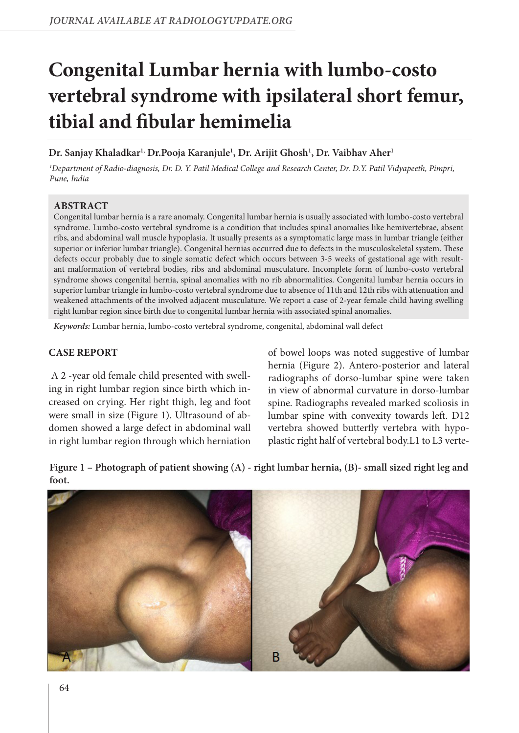# **Congenital Lumbar hernia with lumbo-costo vertebral syndrome with ipsilateral short femur, tibial and fibular hemimelia**

**Dr. Sanjay Khaladkar1, Dr.Pooja Karanjule1 , Dr. Arijit Ghosh1 , Dr. Vaibhav Aher1**

*1 Department of Radio-diagnosis, Dr. D. Y. Patil Medical College and Research Center, Dr. D.Y. Patil Vidyapeeth, Pimpri, Pune, India*

## **ABSTRACT**

Congenital lumbar hernia is a rare anomaly. Congenital lumbar hernia is usually associated with lumbo-costo vertebral syndrome. Lumbo-costo vertebral syndrome is a condition that includes spinal anomalies like hemivertebrae, absent ribs, and abdominal wall muscle hypoplasia. It usually presents as a symptomatic large mass in lumbar triangle (either superior or inferior lumbar triangle). Congenital hernias occurred due to defects in the musculoskeletal system. These defects occur probably due to single somatic defect which occurs between 3-5 weeks of gestational age with resultant malformation of vertebral bodies, ribs and abdominal musculature. Incomplete form of lumbo-costo vertebral syndrome shows congenital hernia, spinal anomalies with no rib abnormalities. Congenital lumbar hernia occurs in superior lumbar triangle in lumbo-costo vertebral syndrome due to absence of 11th and 12th ribs with attenuation and weakened attachments of the involved adjacent musculature. We report a case of 2-year female child having swelling right lumbar region since birth due to congenital lumbar hernia with associated spinal anomalies.

*Keywords:* Lumbar hernia, lumbo-costo vertebral syndrome, congenital, abdominal wall defect

## **CASE REPORT**

 A 2 -year old female child presented with swelling in right lumbar region since birth which increased on crying. Her right thigh, leg and foot were small in size (Figure 1). Ultrasound of abdomen showed a large defect in abdominal wall in right lumbar region through which herniation

of bowel loops was noted suggestive of lumbar hernia (Figure 2). Antero-posterior and lateral radiographs of dorso-lumbar spine were taken in view of abnormal curvature in dorso-lumbar spine. Radiographs revealed marked scoliosis in lumbar spine with convexity towards left. D12 vertebra showed butterfly vertebra with hypoplastic right half of vertebral body.L1 to L3 verte-

**Figure 1 – Photograph of patient showing (A) - right lumbar hernia, (B)- small sized right leg and foot.**

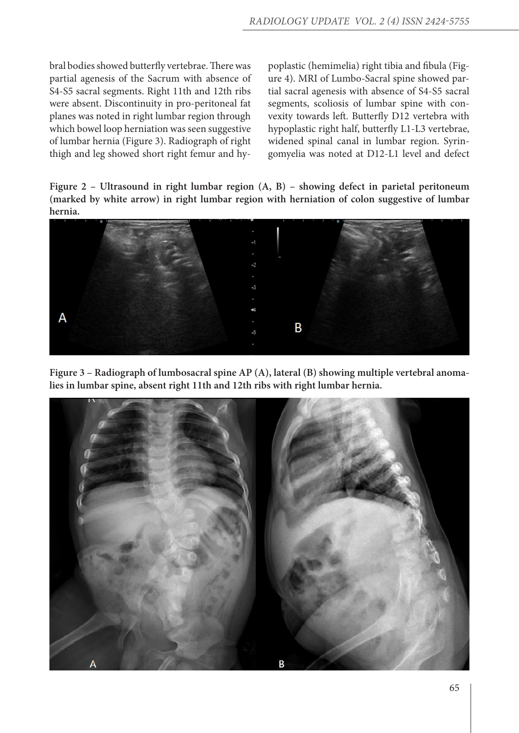bral bodies showed butterfly vertebrae. There was partial agenesis of the Sacrum with absence of S4-S5 sacral segments. Right 11th and 12th ribs were absent. Discontinuity in pro-peritoneal fat planes was noted in right lumbar region through which bowel loop herniation was seen suggestive of lumbar hernia (Figure 3). Radiograph of right thigh and leg showed short right femur and hypoplastic (hemimelia) right tibia and fibula (Figure 4). MRI of Lumbo-Sacral spine showed partial sacral agenesis with absence of S4-S5 sacral segments, scoliosis of lumbar spine with convexity towards left. Butterfly D12 vertebra with hypoplastic right half, butterfly L1-L3 vertebrae, widened spinal canal in lumbar region. Syringomyelia was noted at D12-L1 level and defect

**Figure 2 – Ultrasound in right lumbar region (A, B) – showing defect in parietal peritoneum (marked by white arrow) in right lumbar region with herniation of colon suggestive of lumbar hernia.**



**Figure 3 – Radiograph of lumbosacral spine AP (A), lateral (B) showing multiple vertebral anomalies in lumbar spine, absent right 11th and 12th ribs with right lumbar hernia.**

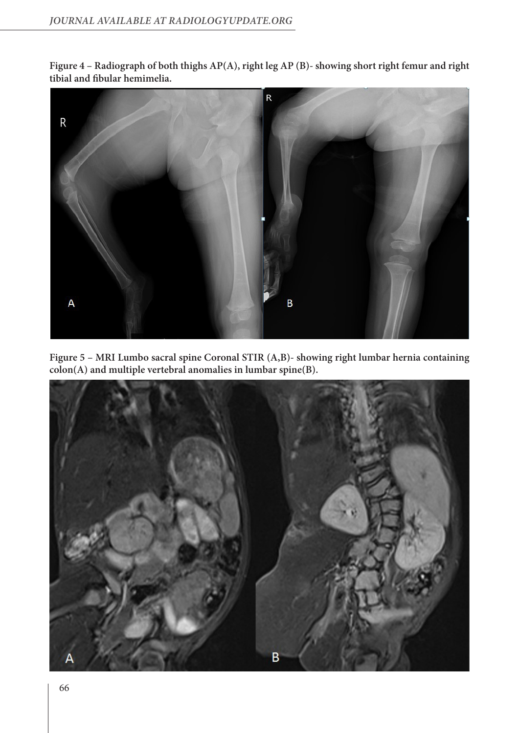**Figure 4 – Radiograph of both thighs AP(A), right leg AP (B)- showing short right femur and right tibial and fibular hemimelia.**



**Figure 5 – MRI Lumbo sacral spine Coronal STIR (A,B)- showing right lumbar hernia containing colon(A) and multiple vertebral anomalies in lumbar spine(B).**

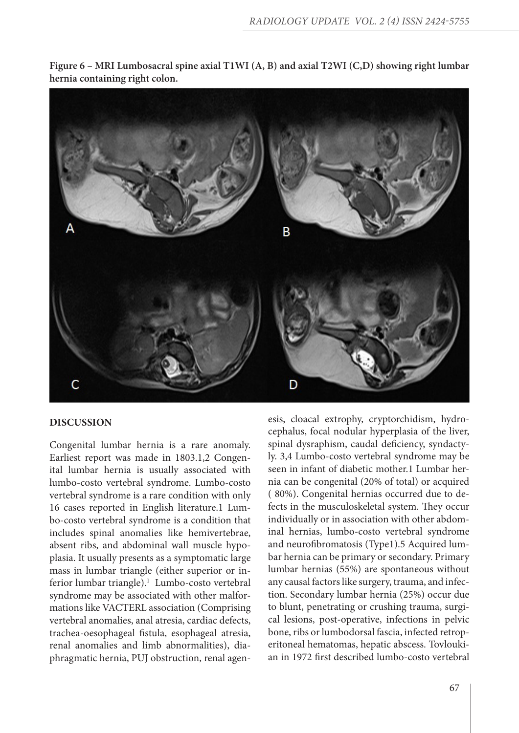

**Figure 6 – MRI Lumbosacral spine axial T1WI (A, B) and axial T2WI (C,D) showing right lumbar hernia containing right colon.**

## **DISCUSSION**

Congenital lumbar hernia is a rare anomaly. Earliest report was made in 1803.1,2 Congenital lumbar hernia is usually associated with lumbo-costo vertebral syndrome. Lumbo-costo vertebral syndrome is a rare condition with only 16 cases reported in English literature.1 Lumbo-costo vertebral syndrome is a condition that includes spinal anomalies like hemivertebrae, absent ribs, and abdominal wall muscle hypoplasia. It usually presents as a symptomatic large mass in lumbar triangle (either superior or inferior lumbar triangle).<sup>1</sup> Lumbo-costo vertebral syndrome may be associated with other malformations like VACTERL association (Comprising vertebral anomalies, anal atresia, cardiac defects, trachea-oesophageal fistula, esophageal atresia, renal anomalies and limb abnormalities), diaphragmatic hernia, PUJ obstruction, renal agen-

esis, cloacal extrophy, cryptorchidism, hydrocephalus, focal nodular hyperplasia of the liver, spinal dysraphism, caudal deficiency, syndactyly. 3,4 Lumbo-costo vertebral syndrome may be seen in infant of diabetic mother.1 Lumbar hernia can be congenital (20% of total) or acquired ( 80%). Congenital hernias occurred due to defects in the musculoskeletal system. They occur individually or in association with other abdominal hernias, lumbo-costo vertebral syndrome and neurofibromatosis (Type1).5 Acquired lumbar hernia can be primary or secondary. Primary lumbar hernias (55%) are spontaneous without any causal factors like surgery, trauma, and infection. Secondary lumbar hernia (25%) occur due to blunt, penetrating or crushing trauma, surgical lesions, post-operative, infections in pelvic bone, ribs or lumbodorsal fascia, infected retroperitoneal hematomas, hepatic abscess. Tovloukian in 1972 first described lumbo-costo vertebral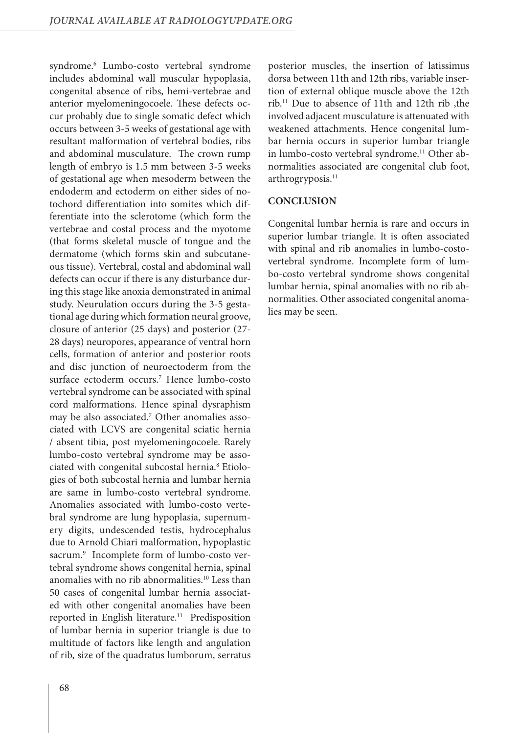syndrome.6 Lumbo-costo vertebral syndrome includes abdominal wall muscular hypoplasia, congenital absence of ribs, hemi-vertebrae and anterior myelomeningocoele. These defects occur probably due to single somatic defect which occurs between 3-5 weeks of gestational age with resultant malformation of vertebral bodies, ribs and abdominal musculature. The crown rump length of embryo is 1.5 mm between 3-5 weeks of gestational age when mesoderm between the endoderm and ectoderm on either sides of notochord differentiation into somites which differentiate into the sclerotome (which form the vertebrae and costal process and the myotome (that forms skeletal muscle of tongue and the dermatome (which forms skin and subcutaneous tissue). Vertebral, costal and abdominal wall defects can occur if there is any disturbance during this stage like anoxia demonstrated in animal study. Neurulation occurs during the 3-5 gestational age during which formation neural groove, closure of anterior (25 days) and posterior (27- 28 days) neuropores, appearance of ventral horn cells, formation of anterior and posterior roots and disc junction of neuroectoderm from the surface ectoderm occurs.7 Hence lumbo-costo vertebral syndrome can be associated with spinal cord malformations. Hence spinal dysraphism may be also associated.7 Other anomalies associated with LCVS are congenital sciatic hernia / absent tibia, post myelomeningocoele. Rarely lumbo-costo vertebral syndrome may be associated with congenital subcostal hernia.<sup>8</sup> Etiologies of both subcostal hernia and lumbar hernia are same in lumbo-costo vertebral syndrome. Anomalies associated with lumbo-costo vertebral syndrome are lung hypoplasia, supernumery digits, undescended testis, hydrocephalus due to Arnold Chiari malformation, hypoplastic sacrum.9 Incomplete form of lumbo-costo vertebral syndrome shows congenital hernia, spinal anomalies with no rib abnormalities.10 Less than 50 cases of congenital lumbar hernia associated with other congenital anomalies have been reported in English literature.<sup>11</sup> Predisposition of lumbar hernia in superior triangle is due to multitude of factors like length and angulation of rib, size of the quadratus lumborum, serratus

posterior muscles, the insertion of latissimus dorsa between 11th and 12th ribs, variable insertion of external oblique muscle above the 12th rib.11 Due to absence of 11th and 12th rib ,the involved adjacent musculature is attenuated with weakened attachments. Hence congenital lumbar hernia occurs in superior lumbar triangle in lumbo-costo vertebral syndrome.<sup>11</sup> Other abnormalities associated are congenital club foot, arthrogryposis.<sup>11</sup>

#### **CONCLUSION**

Congenital lumbar hernia is rare and occurs in superior lumbar triangle. It is often associated with spinal and rib anomalies in lumbo-costovertebral syndrome. Incomplete form of lumbo-costo vertebral syndrome shows congenital lumbar hernia, spinal anomalies with no rib abnormalities. Other associated congenital anomalies may be seen.